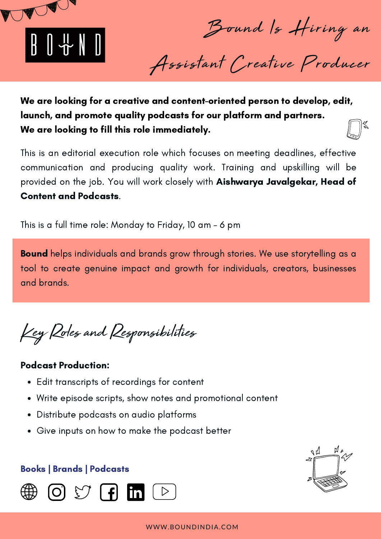

Bound Is Hiring an

Assistant Creative Producer

We are looking for a creative and content-oriented person to develop, edit, launch, and promote quality podcasts for our platform and partners. We are looking to fill this role immediately.

This is an editorial execution role which focuses on meeting deadlines, effective communication and producing quality work. Training and upskilling will be provided on the job. You will work closely with Aishwarya Javalgekar, Head of Content and Podcasts.

This is a full time role: Monday to Friday, 10 am - 6 pm

**Bound** helps individuals and brands grow through stories. We use storytelling as a tool to create genuine impact and growth for individuals, creators, businesses and brands.

Key Roles and Responsibilities

#### Podcast Production:

- Edit transcripts of recordings for content
- Write episode scripts, show notes and promotional content
- Distribute podcasts on audio platforms
- Give inputs on how to make the podcast better

#### Books | Brands | Podcasts



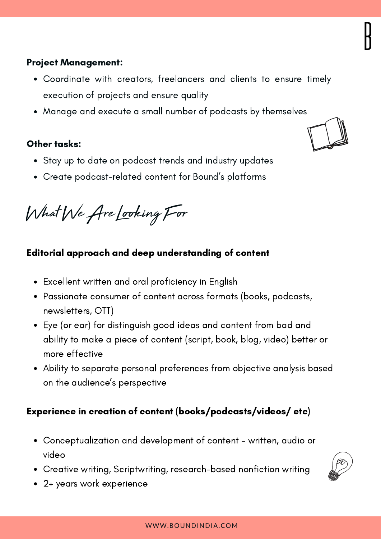## Project Management:

- Coordinate with creators, freelancers and clients to ensure timely execution of projects and ensure quality
- Manage and execute a small number of podcasts by themselves

## Other tasks:

- Stay up to date on podcast trends and industry updates
- Create podcast-related content for Bound's platforms

What We Are Looking For

# Editorial approach and deep understanding of content

- Excellent written and oral proficiency in English
- Passionate consumer of content across formats (books, podcasts, newsletters, OTT)
- Eye (or ear) for distinguish good ideas and content from bad and ability to make a piece of content (script, book, blog, video) better or more effective
- Ability to separate personal preferences from objective analysis based on the audience's perspective

# Experience in creation of content (books/podcasts/videos/ etc)

- Conceptualization and development of content written, audio or video
- Creative writing, Scriptwriting, research-based nonfiction writing
- 2+ years work experience